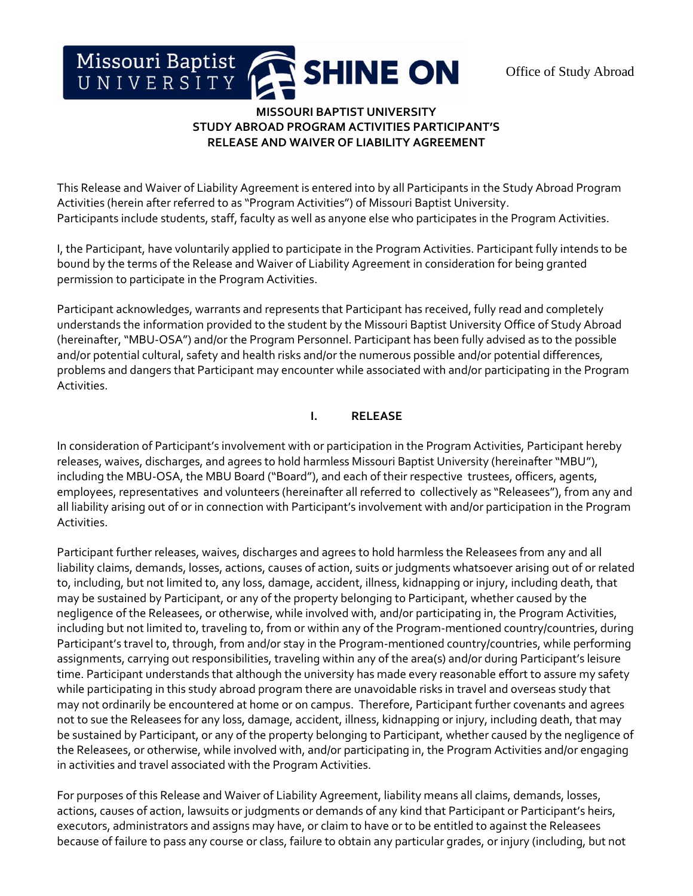Office of Study Abroad



## **MISSOURI BAPTIST UNIVERSITY STUDY ABROAD PROGRAM ACTIVITIES PARTICIPANT'S RELEASE AND WAIVER OF LIABILITY AGREEMENT**

This Release and Waiver of Liability Agreement is entered into by all Participants in the Study Abroad Program Activities (herein after referred to as "Program Activities") of Missouri Baptist University. Participants include students, staff, faculty as well as anyone else who participates in the Program Activities.

I, the Participant, have voluntarily applied to participate in the Program Activities. Participant fully intends to be bound by the terms of the Release and Waiver of Liability Agreement in consideration for being granted permission to participate in the Program Activities.

Participant acknowledges, warrants and represents that Participant has received, fully read and completely understands the information provided to the student by the Missouri Baptist University Office of Study Abroad (hereinafter, "MBU-OSA") and/or the Program Personnel. Participant has been fully advised as to the possible and/or potential cultural, safety and health risks and/or the numerous possible and/or potential differences, problems and dangers that Participant may encounter while associated with and/or participating in the Program Activities.

## **I. RELEASE**

In consideration of Participant's involvement with or participation in the Program Activities, Participant hereby releases, waives, discharges, and agrees to hold harmless Missouri Baptist University (hereinafter "MBU"), including the MBU-OSA, the MBU Board ("Board"), and each of their respective trustees, officers, agents, employees, representatives and volunteers (hereinafter all referred to collectively as "Releasees"), from any and all liability arising out of or in connection with Participant's involvement with and/or participation in the Program Activities.

Participant further releases, waives, discharges and agrees to hold harmless the Releasees from any and all liability claims, demands, losses, actions, causes of action, suits or judgments whatsoever arising out of or related to, including, but not limited to, any loss, damage, accident, illness, kidnapping or injury, including death, that may be sustained by Participant, or any of the property belonging to Participant, whether caused by the negligence of the Releasees, or otherwise, while involved with, and/or participating in, the Program Activities, including but not limited to, traveling to, from or within any of the Program-mentioned country/countries, during Participant's travel to, through, from and/or stay in the Program-mentioned country/countries, while performing assignments, carrying out responsibilities, traveling within any of the area(s) and/or during Participant's leisure time. Participant understands that although the university has made every reasonable effort to assure my safety while participating in this study abroad program there are unavoidable risks in travel and overseas study that may not ordinarily be encountered at home or on campus. Therefore, Participant further covenants and agrees not to sue the Releasees for any loss, damage, accident, illness, kidnapping or injury, including death, that may be sustained by Participant, or any of the property belonging to Participant, whether caused by the negligence of the Releasees, or otherwise, while involved with, and/or participating in, the Program Activities and/or engaging in activities and travel associated with the Program Activities.

For purposes of this Release and Waiver of Liability Agreement, liability means all claims, demands, losses, actions, causes of action, lawsuits or judgments or demands of any kind that Participant or Participant's heirs, executors, administrators and assigns may have, or claim to have or to be entitled to against the Releasees because of failure to pass any course or class, failure to obtain any particular grades, or injury (including, but not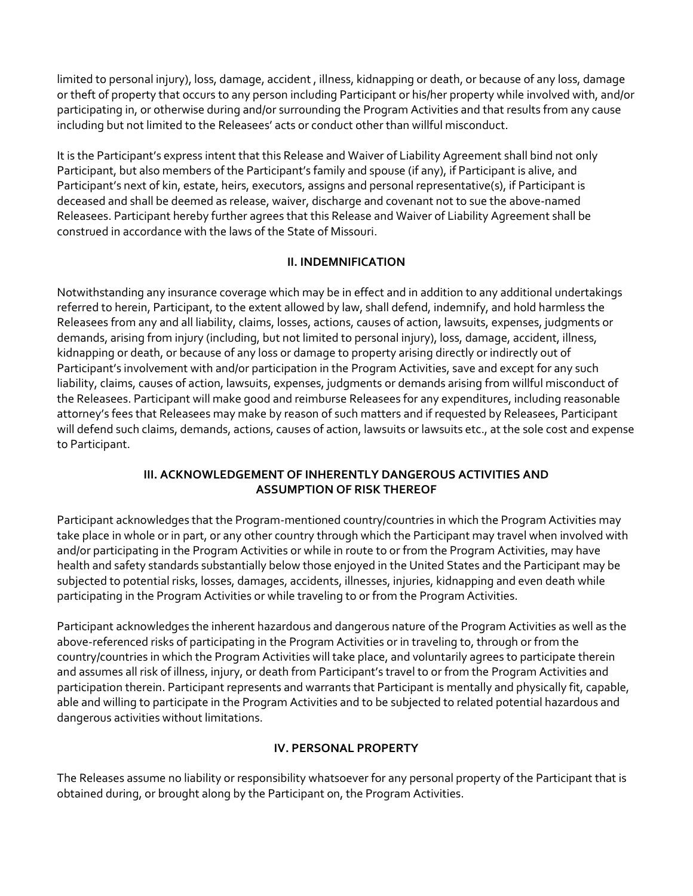limited to personal injury), loss, damage, accident , illness, kidnapping or death, or because of any loss, damage or theft of property that occurs to any person including Participant or his/her property while involved with, and/or participating in, or otherwise during and/or surrounding the Program Activities and that results from any cause including but not limited to the Releasees' acts or conduct other than willful misconduct.

It is the Participant's express intent that this Release and Waiver of Liability Agreement shall bind not only Participant, but also members of the Participant's family and spouse (if any), if Participant is alive, and Participant's next of kin, estate, heirs, executors, assigns and personal representative(s), if Participant is deceased and shall be deemed as release, waiver, discharge and covenant not to sue the above-named Releasees. Participant hereby further agrees that this Release and Waiver of Liability Agreement shall be construed in accordance with the laws of the State of Missouri.

## **II. INDEMNIFICATION**

Notwithstanding any insurance coverage which may be in effect and in addition to any additional undertakings referred to herein, Participant, to the extent allowed by law, shall defend, indemnify, and hold harmless the Releasees from any and all liability, claims, losses, actions, causes of action, lawsuits, expenses, judgments or demands, arising from injury (including, but not limited to personal injury), loss, damage, accident, illness, kidnapping or death, or because of any loss or damage to property arising directly or indirectly out of Participant's involvement with and/or participation in the Program Activities, save and except for any such liability, claims, causes of action, lawsuits, expenses, judgments or demands arising from willful misconduct of the Releasees. Participant will make good and reimburse Releasees for any expenditures, including reasonable attorney's fees that Releasees may make by reason of such matters and if requested by Releasees, Participant will defend such claims, demands, actions, causes of action, lawsuits or lawsuits etc., at the sole cost and expense to Participant.

## **III. ACKNOWLEDGEMENT OF INHERENTLY DANGEROUS ACTIVITIES AND ASSUMPTION OF RISK THEREOF**

Participant acknowledges that the Program-mentioned country/countries in which the Program Activities may take place in whole or in part, or any other country through which the Participant may travel when involved with and/or participating in the Program Activities or while in route to or from the Program Activities, may have health and safety standards substantially below those enjoyed in the United States and the Participant may be subjected to potential risks, losses, damages, accidents, illnesses, injuries, kidnapping and even death while participating in the Program Activities or while traveling to or from the Program Activities.

Participant acknowledges the inherent hazardous and dangerous nature of the Program Activities as well as the above-referenced risks of participating in the Program Activities or in traveling to, through or from the country/countries in which the Program Activities will take place, and voluntarily agrees to participate therein and assumes all risk of illness, injury, or death from Participant's travel to or from the Program Activities and participation therein. Participant represents and warrants that Participant is mentally and physically fit, capable, able and willing to participate in the Program Activities and to be subjected to related potential hazardous and dangerous activities without limitations.

## **IV. PERSONAL PROPERTY**

The Releases assume no liability or responsibility whatsoever for any personal property of the Participant that is obtained during, or brought along by the Participant on, the Program Activities.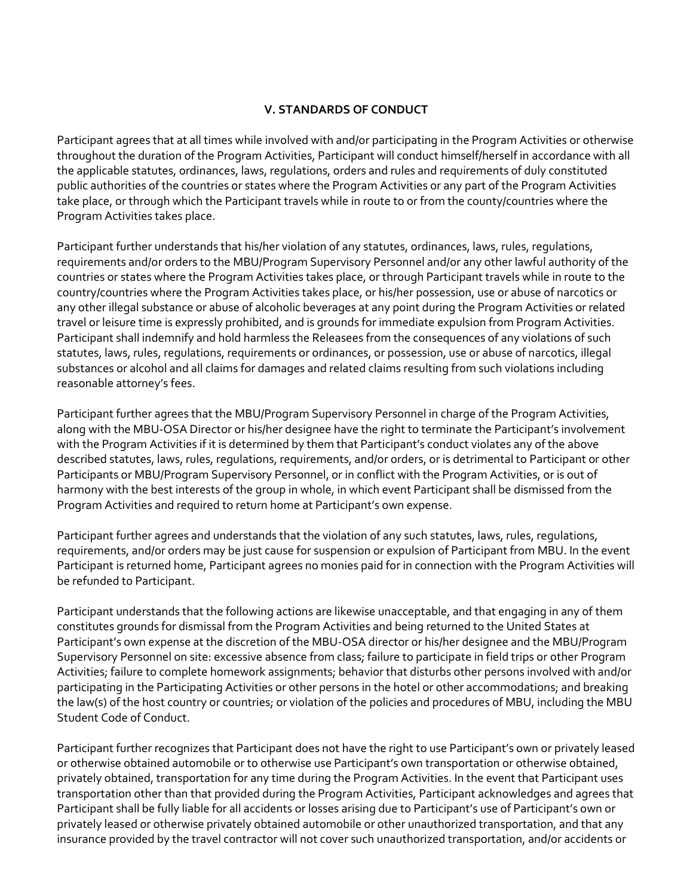## **V. STANDARDS OF CONDUCT**

Participant agrees that at all times while involved with and/or participating in the Program Activities or otherwise throughout the duration of the Program Activities, Participant will conduct himself/herself in accordance with all the applicable statutes, ordinances, laws, regulations, orders and rules and requirements of duly constituted public authorities of the countries or states where the Program Activities or any part of the Program Activities take place, or through which the Participant travels while in route to or from the county/countries where the Program Activities takes place.

Participant further understands that his/her violation of any statutes, ordinances, laws, rules, regulations, requirements and/or orders to the MBU/Program Supervisory Personnel and/or any other lawful authority of the countries or states where the Program Activities takes place, or through Participant travels while in route to the country/countries where the Program Activities takes place, or his/her possession, use or abuse of narcotics or any other illegal substance or abuse of alcoholic beverages at any point during the Program Activities or related travel or leisure time is expressly prohibited, and is grounds for immediate expulsion from Program Activities. Participant shall indemnify and hold harmless the Releasees from the consequences of any violations of such statutes, laws, rules, regulations, requirements or ordinances, or possession, use or abuse of narcotics, illegal substances or alcohol and all claims for damages and related claims resulting from such violations including reasonable attorney's fees.

Participant further agrees that the MBU/Program Supervisory Personnel in charge of the Program Activities, along with the MBU-OSA Director or his/her designee have the right to terminate the Participant's involvement with the Program Activities if it is determined by them that Participant's conduct violates any of the above described statutes, laws, rules, regulations, requirements, and/or orders, or is detrimental to Participant or other Participants or MBU/Program Supervisory Personnel, or in conflict with the Program Activities, or is out of harmony with the best interests of the group in whole, in which event Participant shall be dismissed from the Program Activities and required to return home at Participant's own expense.

Participant further agrees and understands that the violation of any such statutes, laws, rules, regulations, requirements, and/or orders may be just cause for suspension or expulsion of Participant from MBU. In the event Participant is returned home, Participant agrees no monies paid for in connection with the Program Activities will be refunded to Participant.

Participant understands that the following actions are likewise unacceptable, and that engaging in any of them constitutes grounds for dismissal from the Program Activities and being returned to the United States at Participant's own expense at the discretion of the MBU-OSA director or his/her designee and the MBU/Program Supervisory Personnel on site: excessive absence from class; failure to participate in field trips or other Program Activities; failure to complete homework assignments; behavior that disturbs other persons involved with and/or participating in the Participating Activities or other persons in the hotel or other accommodations; and breaking the law(s) of the host country or countries; or violation of the policies and procedures of MBU, including the MBU Student Code of Conduct.

Participant further recognizes that Participant does not have the right to use Participant's own or privately leased or otherwise obtained automobile or to otherwise use Participant's own transportation or otherwise obtained, privately obtained, transportation for any time during the Program Activities. In the event that Participant uses transportation other than that provided during the Program Activities, Participant acknowledges and agrees that Participant shall be fully liable for all accidents or losses arising due to Participant's use of Participant's own or privately leased or otherwise privately obtained automobile or other unauthorized transportation, and that any insurance provided by the travel contractor will not cover such unauthorized transportation, and/or accidents or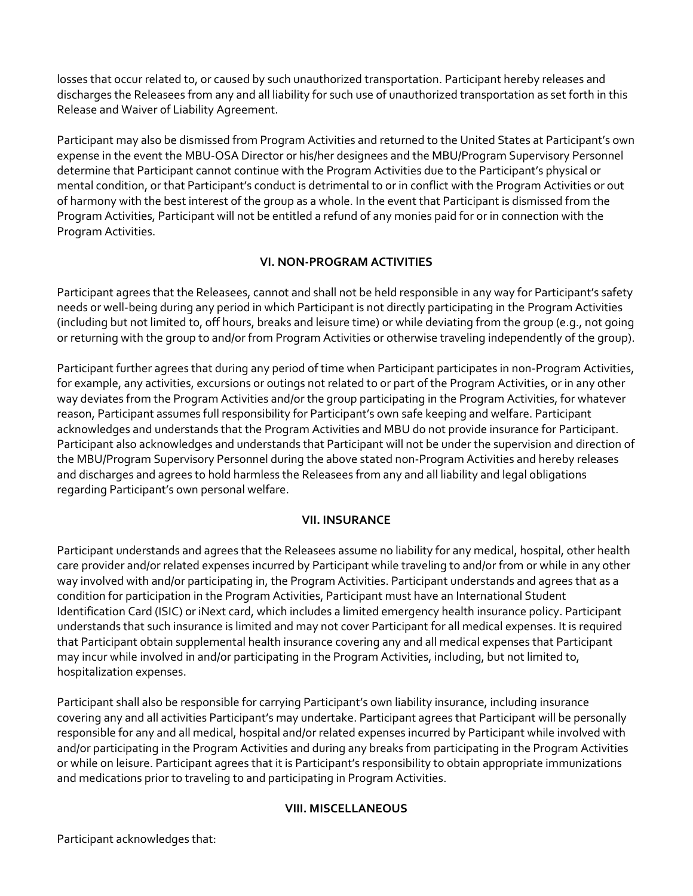losses that occur related to, or caused by such unauthorized transportation. Participant hereby releases and discharges the Releasees from any and all liability for such use of unauthorized transportation as set forth in this Release and Waiver of Liability Agreement.

Participant may also be dismissed from Program Activities and returned to the United States at Participant's own expense in the event the MBU-OSA Director or his/her designees and the MBU/Program Supervisory Personnel determine that Participant cannot continue with the Program Activities due to the Participant's physical or mental condition, or that Participant's conduct is detrimental to or in conflict with the Program Activities or out of harmony with the best interest of the group as a whole. In the event that Participant is dismissed from the Program Activities, Participant will not be entitled a refund of any monies paid for or in connection with the Program Activities.

## **VI. NON-PROGRAM ACTIVITIES**

Participant agrees that the Releasees, cannot and shall not be held responsible in any way for Participant's safety needs or well-being during any period in which Participant is not directly participating in the Program Activities (including but not limited to, off hours, breaks and leisure time) or while deviating from the group (e.g., not going or returning with the group to and/or from Program Activities or otherwise traveling independently of the group).

Participant further agrees that during any period of time when Participant participates in non-Program Activities, for example, any activities, excursions or outings not related to or part of the Program Activities, or in any other way deviates from the Program Activities and/or the group participating in the Program Activities, for whatever reason, Participant assumes full responsibility for Participant's own safe keeping and welfare. Participant acknowledges and understands that the Program Activities and MBU do not provide insurance for Participant. Participant also acknowledges and understands that Participant will not be under the supervision and direction of the MBU/Program Supervisory Personnel during the above stated non-Program Activities and hereby releases and discharges and agrees to hold harmless the Releasees from any and all liability and legal obligations regarding Participant's own personal welfare.

## **VII. INSURANCE**

Participant understands and agrees that the Releasees assume no liability for any medical, hospital, other health care provider and/or related expenses incurred by Participant while traveling to and/or from or while in any other way involved with and/or participating in, the Program Activities. Participant understands and agrees that as a condition for participation in the Program Activities, Participant must have an International Student Identification Card (ISIC) or iNext card, which includes a limited emergency health insurance policy. Participant understands that such insurance is limited and may not cover Participant for all medical expenses. It is required that Participant obtain supplemental health insurance covering any and all medical expenses that Participant may incur while involved in and/or participating in the Program Activities, including, but not limited to, hospitalization expenses.

Participant shall also be responsible for carrying Participant's own liability insurance, including insurance covering any and all activities Participant's may undertake. Participant agrees that Participant will be personally responsible for any and all medical, hospital and/or related expenses incurred by Participant while involved with and/or participating in the Program Activities and during any breaks from participating in the Program Activities or while on leisure. Participant agrees that it is Participant's responsibility to obtain appropriate immunizations and medications prior to traveling to and participating in Program Activities.

# **VIII. MISCELLANEOUS**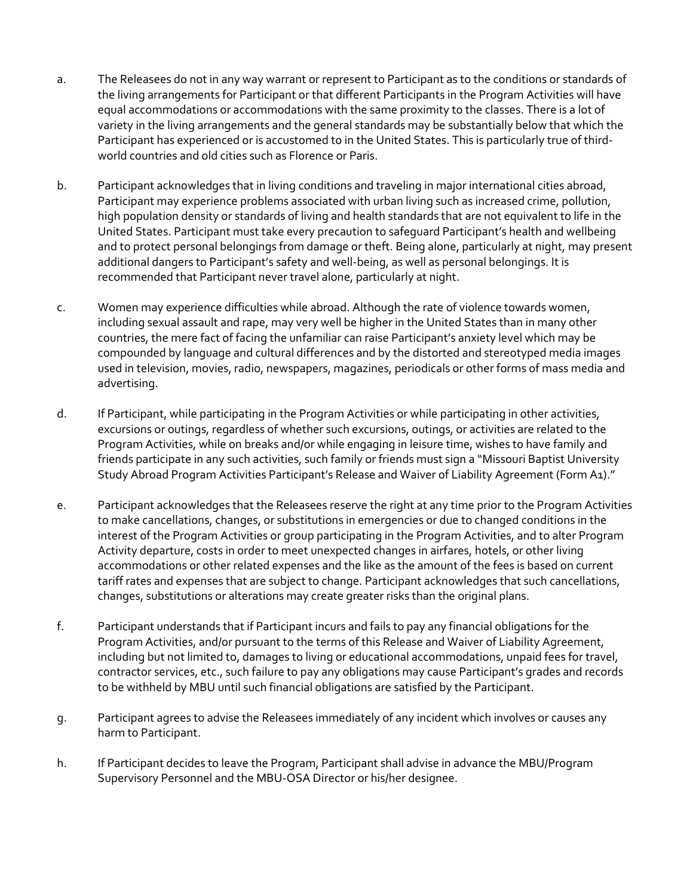- a. The Releasees do not in any way warrant or represent to Participant as to the conditions or standards of the living arrangements for Participant or that different Participants in the Program Activities will have equal accommodations or accommodations with the same proximity to the classes. There is a lot of variety in the living arrangements and the general standards may be substantially below that which the Participant has experienced or is accustomed to in the United States. This is particularly true of thirdworld countries and old cities such as Florence or Paris.
- b. Participant acknowledges that in living conditions and traveling in major international cities abroad, Participant may experience problems associated with urban living such as increased crime, pollution, high population density or standards of living and health standards that are not equivalent to life in the United States. Participant must take every precaution to safeguard Participant's health and wellbeing and to protect personal belongings from damage or theft. Being alone, particularly at night, may present additional dangers to Participant's safety and well-being, as well as personal belongings. It is recommended that Participant never travel alone, particularly at night.
- c. Women may experience difficulties while abroad. Although the rate of violence towards women, including sexual assault and rape, may very well be higher in the United States than in many other countries, the mere fact of facing the unfamiliar can raise Participant's anxiety level which may be compounded by language and cultural differences and by the distorted and stereotyped media images used in television, movies, radio, newspapers, magazines, periodicals or other forms of mass media and advertising.
- d. If Participant, while participating in the Program Activities or while participating in other activities, excursions or outings, regardless of whether such excursions, outings, or activities are related to the Program Activities, while on breaks and/or while engaging in leisure time, wishes to have family and friends participate in any such activities, such family or friends must sign a "Missouri Baptist University Study Abroad Program Activities Participant's Release and Waiver of Liability Agreement (Form A1)."
- e. Participant acknowledges that the Releasees reserve the right at any time prior to the Program Activities to make cancellations, changes, or substitutions in emergencies or due to changed conditions in the interest of the Program Activities or group participating in the Program Activities, and to alter Program Activity departure, costs in order to meet unexpected changes in airfares, hotels, or other living accommodations or other related expenses and the like as the amount of the fees is based on current tariff rates and expenses that are subject to change. Participant acknowledges that such cancellations, changes, substitutions or alterations may create greater risks than the original plans.
- f. Participant understands that if Participant incurs and fails to pay any financial obligations for the Program Activities, and/or pursuant to the terms of this Release and Waiver of Liability Agreement, including but not limited to, damages to living or educational accommodations, unpaid fees for travel, contractor services, etc., such failure to pay any obligations may cause Participant's grades and records to be withheld by MBU until such financial obligations are satisfied by the Participant.
- g. Participant agrees to advise the Releasees immediately of any incident which involves or causes any harm to Participant.
- h. If Participant decides to leave the Program, Participant shall advise in advance the MBU/Program Supervisory Personnel and the MBU-OSA Director or his/her designee.